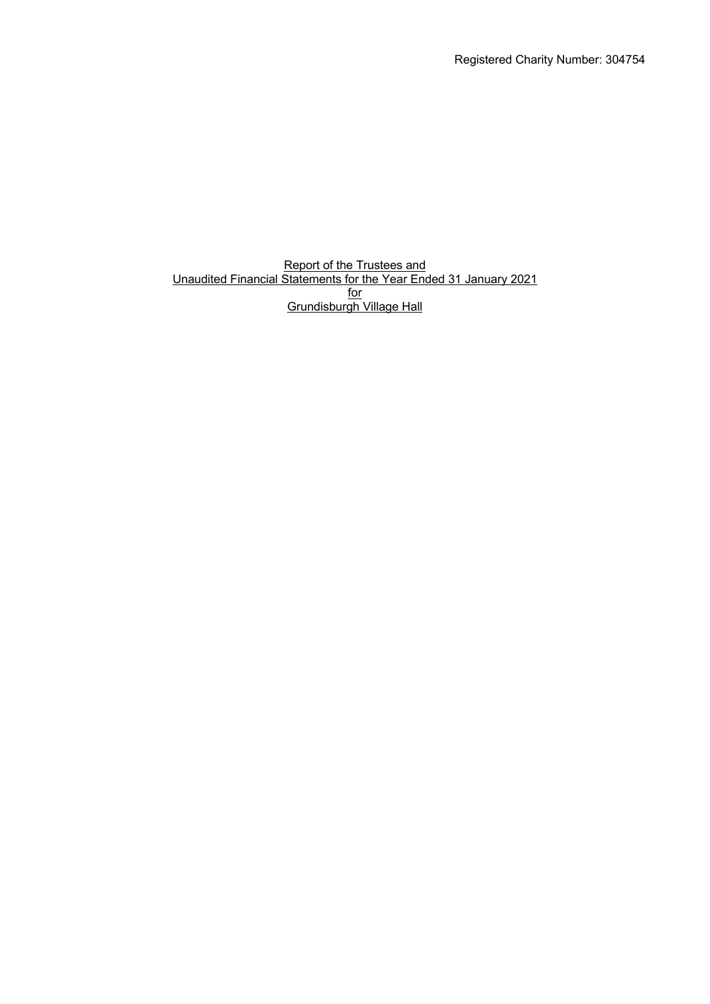Registered Charity Number: 304754

**Report of the Trustees and** Unaudited Financial Statements for the Year Ended 31 January 2021 <u>for</u> Grundisburgh Village Hall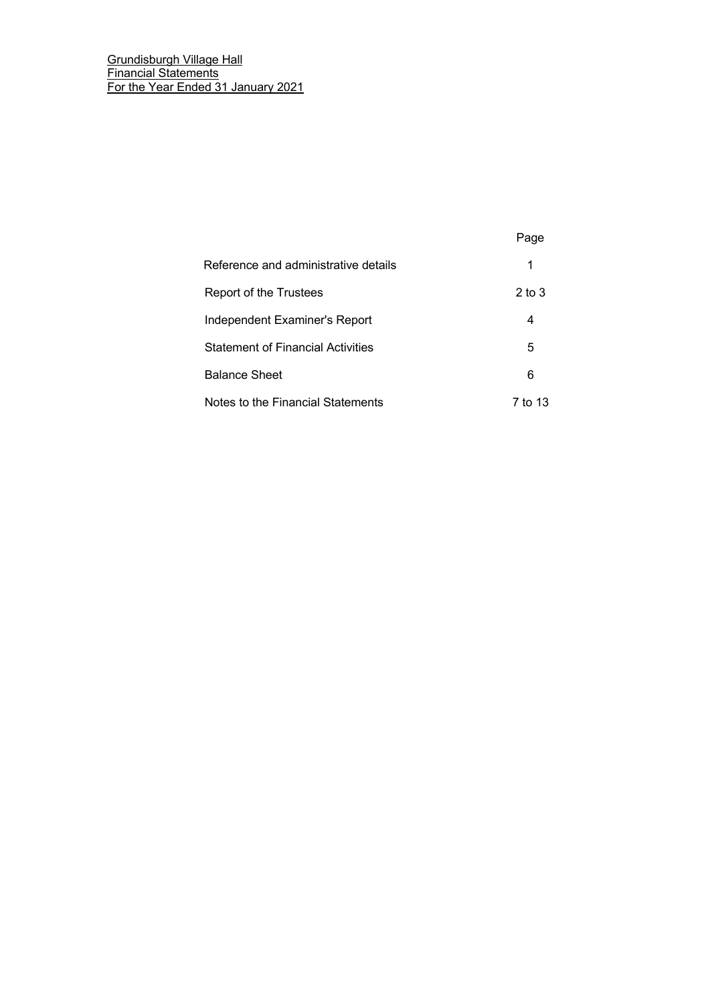|                                          | Page       |
|------------------------------------------|------------|
| Reference and administrative details     | 1          |
| Report of the Trustees                   | $2$ to $3$ |
| Independent Examiner's Report            | 4          |
| <b>Statement of Financial Activities</b> | 5          |
| <b>Balance Sheet</b>                     | 6          |
| Notes to the Financial Statements        | 7 to 13    |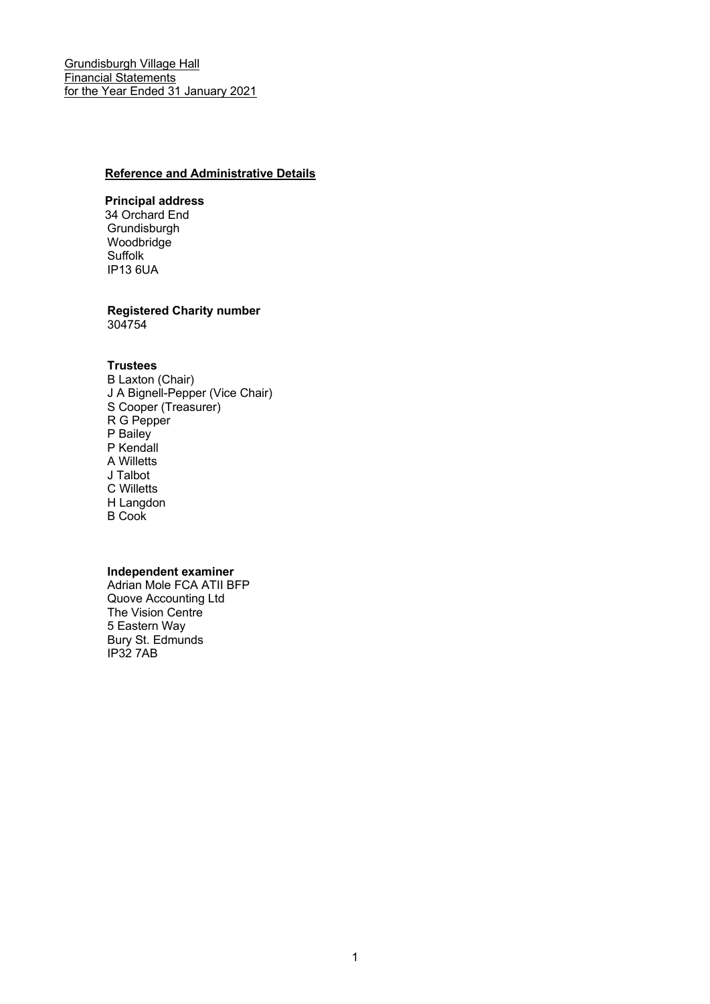## **Reference and Administrative Details**

## **Principal address**

34 Orchard End Grundisburgh Woodbridge Suffolk IP13 6UA

# **Registered Charity number**

304754

#### **Trustees**

B Laxton (Chair) J A Bignell-Pepper (Vice Chair) S Cooper (Treasurer) R G Pepper P Bailey P Kendall A Willetts J Talbot C Willetts H Langdon B Cook

## **Independent examiner**

Adrian Mole FCA ATII BFP Quove Accounting Ltd The Vision Centre 5 Eastern Way Bury St. Edmunds IP32 7AB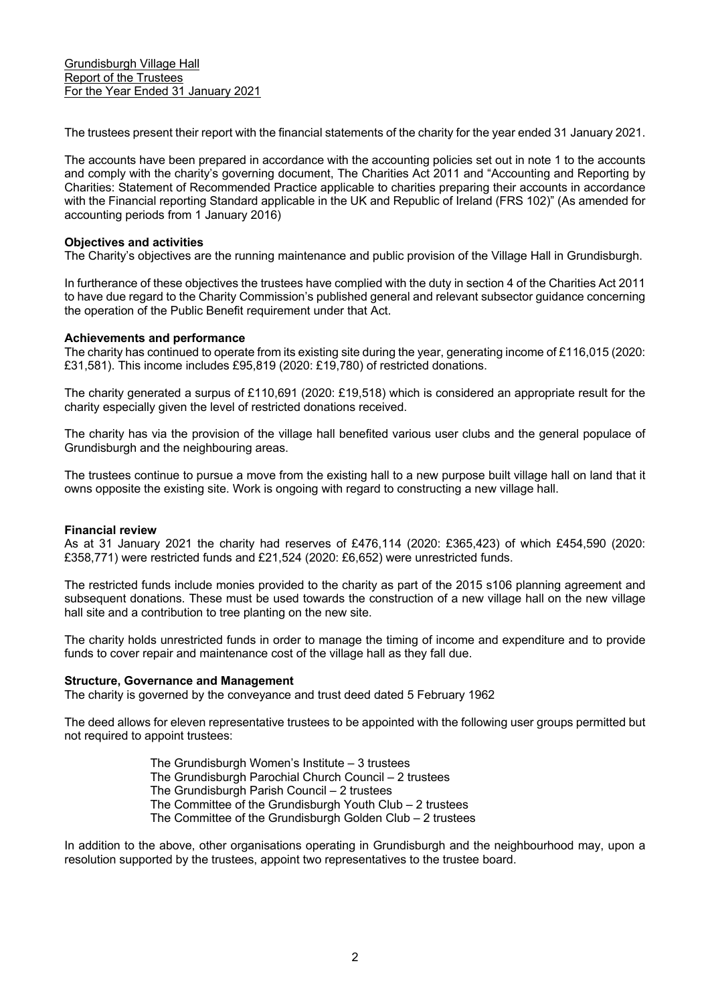The trustees present their report with the financial statements of the charity for the year ended 31 January 2021.

The accounts have been prepared in accordance with the accounting policies set out in note 1 to the accounts and comply with the charity's governing document, The Charities Act 2011 and "Accounting and Reporting by Charities: Statement of Recommended Practice applicable to charities preparing their accounts in accordance with the Financial reporting Standard applicable in the UK and Republic of Ireland (FRS 102)" (As amended for accounting periods from 1 January 2016)

#### **Objectives and activities**

The Charity's objectives are the running maintenance and public provision of the Village Hall in Grundisburgh.

In furtherance of these objectives the trustees have complied with the duty in section 4 of the Charities Act 2011 to have due regard to the Charity Commission's published general and relevant subsector guidance concerning the operation of the Public Benefit requirement under that Act.

## **Achievements and performance**

The charity has continued to operate from its existing site during the year, generating income of £116,015 (2020: £31,581). This income includes £95,819 (2020: £19,780) of restricted donations.

The charity generated a surpus of £110,691 (2020: £19,518) which is considered an appropriate result for the charity especially given the level of restricted donations received.

The charity has via the provision of the village hall benefited various user clubs and the general populace of Grundisburgh and the neighbouring areas.

The trustees continue to pursue a move from the existing hall to a new purpose built village hall on land that it owns opposite the existing site. Work is ongoing with regard to constructing a new village hall.

#### **Financial review**

As at 31 January 2021 the charity had reserves of £476,114 (2020: £365,423) of which £454,590 (2020: £358,771) were restricted funds and £21,524 (2020: £6,652) were unrestricted funds.

The restricted funds include monies provided to the charity as part of the 2015 s106 planning agreement and subsequent donations. These must be used towards the construction of a new village hall on the new village hall site and a contribution to tree planting on the new site.

The charity holds unrestricted funds in order to manage the timing of income and expenditure and to provide funds to cover repair and maintenance cost of the village hall as they fall due.

#### **Structure, Governance and Management**

The charity is governed by the conveyance and trust deed dated 5 February 1962

The deed allows for eleven representative trustees to be appointed with the following user groups permitted but not required to appoint trustees:

> The Grundisburgh Women's Institute – 3 trustees The Grundisburgh Parochial Church Council – 2 trustees The Grundisburgh Parish Council – 2 trustees The Committee of the Grundisburgh Youth Club – 2 trustees The Committee of the Grundisburgh Golden Club – 2 trustees

In addition to the above, other organisations operating in Grundisburgh and the neighbourhood may, upon a resolution supported by the trustees, appoint two representatives to the trustee board.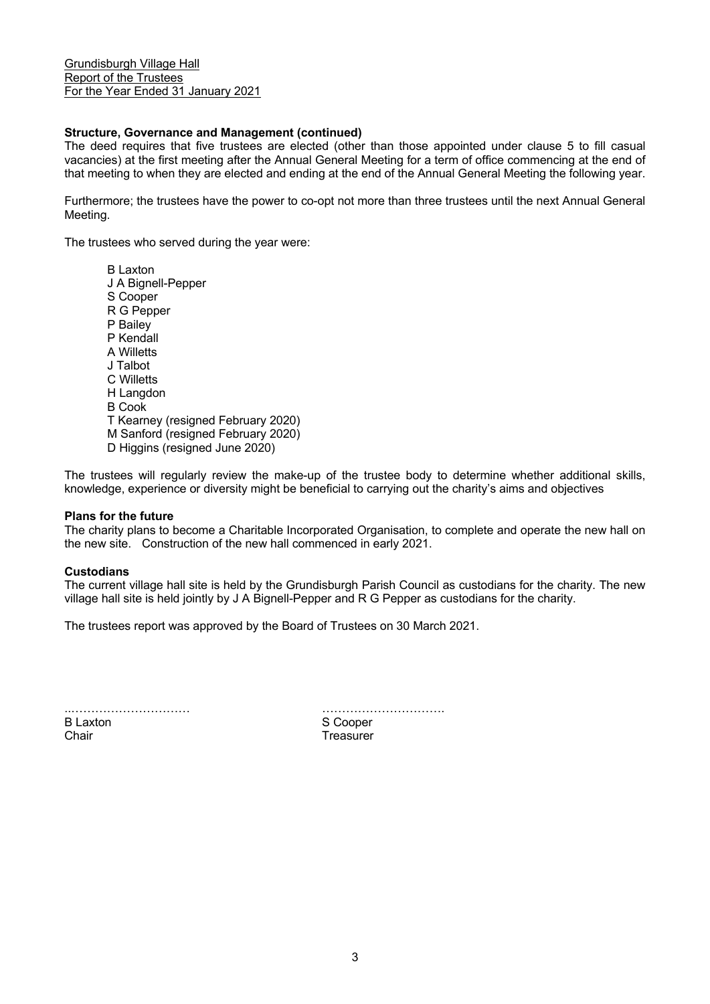## **Structure, Governance and Management (continued)**

The deed requires that five trustees are elected (other than those appointed under clause 5 to fill casual vacancies) at the first meeting after the Annual General Meeting for a term of office commencing at the end of that meeting to when they are elected and ending at the end of the Annual General Meeting the following year.

Furthermore; the trustees have the power to co-opt not more than three trustees until the next Annual General Meeting.

The trustees who served during the year were:

B Laxton J A Bignell-Pepper S Cooper R G Pepper P Bailey P Kendall A Willetts J Talbot C Willetts H Langdon B Cook T Kearney (resigned February 2020) M Sanford (resigned February 2020) D Higgins (resigned June 2020)

The trustees will regularly review the make-up of the trustee body to determine whether additional skills, knowledge, experience or diversity might be beneficial to carrying out the charity's aims and objectives

#### **Plans for the future**

The charity plans to become a Charitable Incorporated Organisation, to complete and operate the new hall on the new site. Construction of the new hall commenced in early 2021.

#### **Custodians**

The current village hall site is held by the Grundisburgh Parish Council as custodians for the charity. The new village hall site is held jointly by J A Bignell-Pepper and R G Pepper as custodians for the charity.

The trustees report was approved by the Board of Trustees on 30 March 2021.

B Laxton S Cooper Chair **Treasurer** Chair **Treasurer** 

..………………………… ………………………….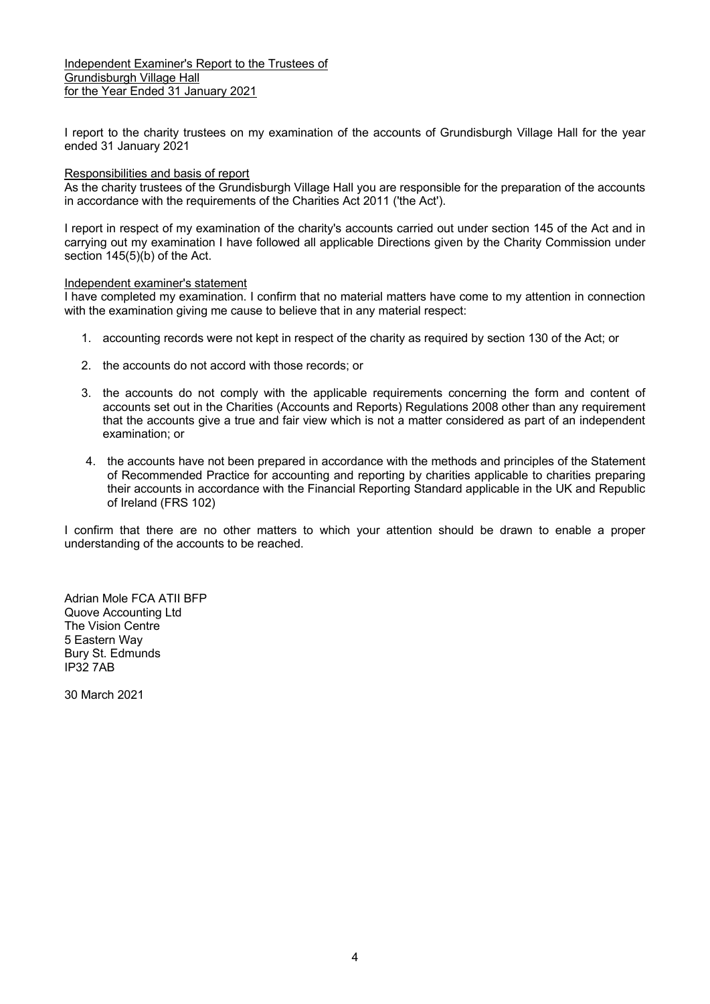Independent Examiner's Report to the Trustees of Grundisburgh Village Hall for the Year Ended 31 January 2021

I report to the charity trustees on my examination of the accounts of Grundisburgh Village Hall for the year ended 31 January 2021

#### Responsibilities and basis of report

As the charity trustees of the Grundisburgh Village Hall you are responsible for the preparation of the accounts in accordance with the requirements of the Charities Act 2011 ('the Act').

I report in respect of my examination of the charity's accounts carried out under section 145 of the Act and in carrying out my examination I have followed all applicable Directions given by the Charity Commission under section 145(5)(b) of the Act.

#### Independent examiner's statement

I have completed my examination. I confirm that no material matters have come to my attention in connection with the examination giving me cause to believe that in any material respect:

- 1. accounting records were not kept in respect of the charity as required by section 130 of the Act; or
- 2. the accounts do not accord with those records; or
- 3. the accounts do not comply with the applicable requirements concerning the form and content of accounts set out in the Charities (Accounts and Reports) Regulations 2008 other than any requirement that the accounts give a true and fair view which is not a matter considered as part of an independent examination; or
- 4. the accounts have not been prepared in accordance with the methods and principles of the Statement of Recommended Practice for accounting and reporting by charities applicable to charities preparing their accounts in accordance with the Financial Reporting Standard applicable in the UK and Republic of Ireland (FRS 102)

I confirm that there are no other matters to which your attention should be drawn to enable a proper understanding of the accounts to be reached.

Adrian Mole FCA ATII BFP Quove Accounting Ltd The Vision Centre 5 Eastern Way Bury St. Edmunds IP32 7AB

30 March 2021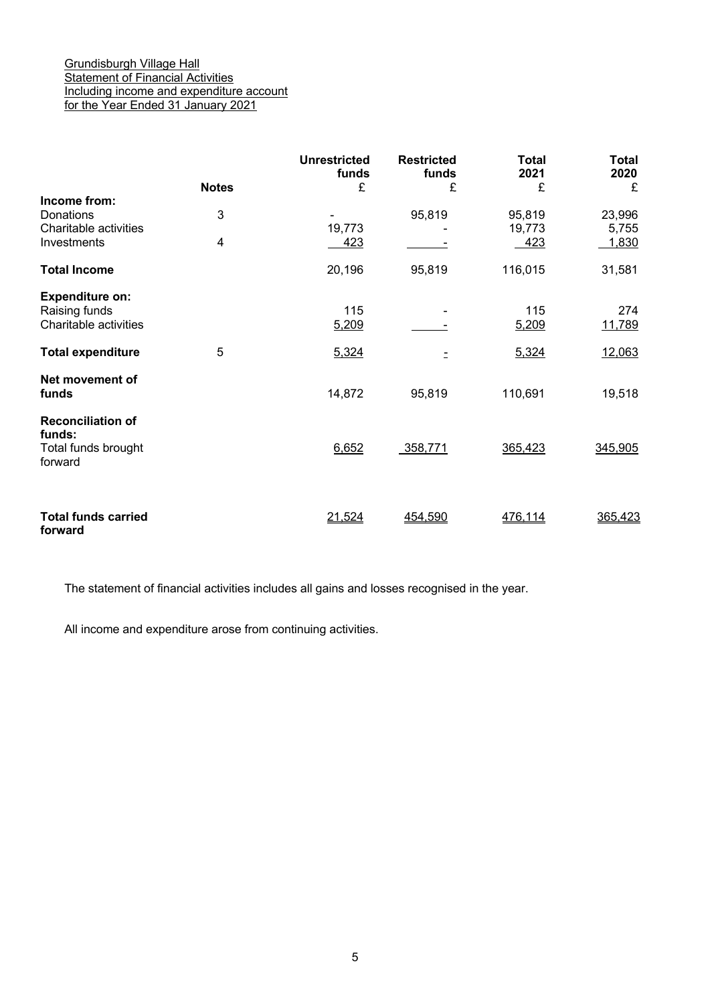## Grundisburgh Village Hall **Statement of Financial Activities** Including income and expenditure account for the Year Ended 31 January 2021

|                                           | <b>Notes</b>   | Unrestricted<br>funds<br>£ | <b>Restricted</b><br>funds<br>£ | <b>Total</b><br>2021<br>£ | <b>Total</b><br>2020<br>£ |
|-------------------------------------------|----------------|----------------------------|---------------------------------|---------------------------|---------------------------|
| Income from:                              |                |                            |                                 |                           |                           |
| <b>Donations</b><br>Charitable activities | 3              | 19,773                     | 95,819                          | 95,819                    | 23,996                    |
| Investments                               | $\overline{4}$ | 423                        |                                 | 19,773<br>423             | 5,755<br>1,830            |
| <b>Total Income</b>                       |                | 20,196                     | 95,819                          | 116,015                   | 31,581                    |
| <b>Expenditure on:</b>                    |                |                            |                                 |                           |                           |
| Raising funds                             |                | 115                        |                                 | 115                       | 274                       |
| Charitable activities                     |                | 5,209                      |                                 | 5,209                     | 11,789                    |
|                                           |                |                            |                                 |                           |                           |
| <b>Total expenditure</b>                  | 5              | 5,324                      |                                 | 5,324                     | 12,063                    |
| Net movement of                           |                |                            |                                 |                           |                           |
| funds                                     |                | 14,872                     | 95,819                          | 110,691                   | 19,518                    |
| <b>Reconciliation of</b>                  |                |                            |                                 |                           |                           |
| funds:                                    |                |                            |                                 |                           |                           |
| Total funds brought<br>forward            |                | 6,652                      | 358,771                         | 365,423                   | 345,905                   |
|                                           |                |                            |                                 |                           |                           |
|                                           |                |                            |                                 |                           |                           |
| <b>Total funds carried</b><br>forward     |                | 21,524                     | 454,590                         | 476,114                   | 365,423                   |

The statement of financial activities includes all gains and losses recognised in the year.

All income and expenditure arose from continuing activities.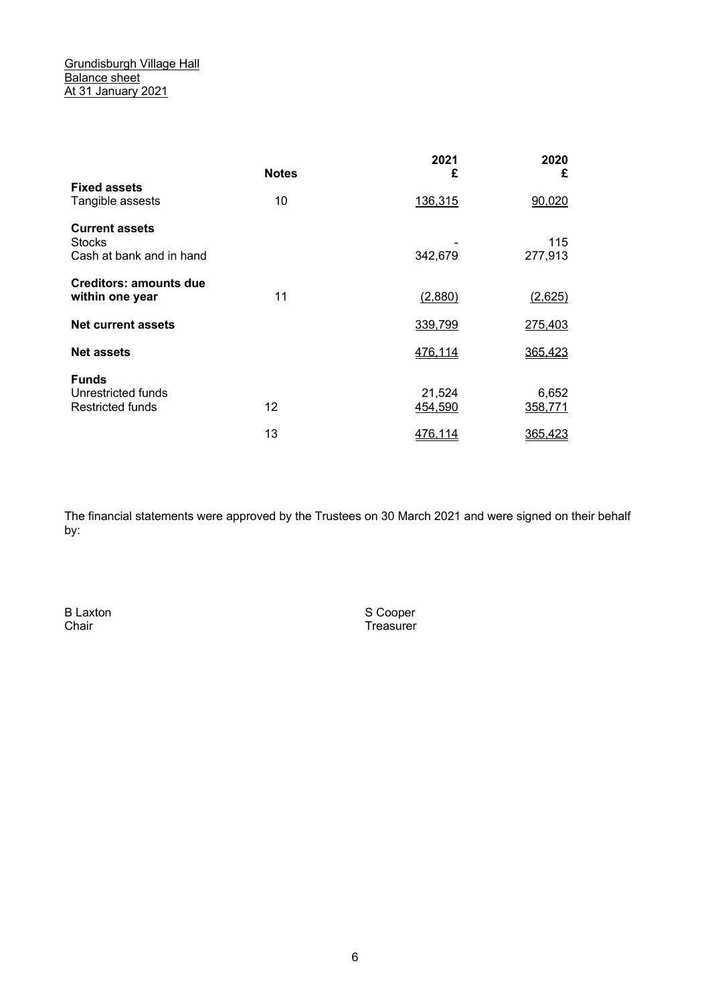|                                                                    | <b>Notes</b> | 2021<br>£         | 2020<br>£        |
|--------------------------------------------------------------------|--------------|-------------------|------------------|
| <b>Fixed assets</b><br>Tangible assests                            | 10           | 136,315           | 90,020           |
| <b>Current assets</b><br><b>Stocks</b><br>Cash at bank and in hand |              | 342,679           | 115<br>277,913   |
| <b>Creditors: amounts due</b><br>within one year                   | 11           | (2,880)           | (2,625)          |
| <b>Net current assets</b>                                          |              | 339,799           | 275,403          |
| <b>Net assets</b>                                                  |              | 476,114           | 365,423          |
| <b>Funds</b><br>Unrestricted funds<br>Restricted funds             | 12           | 21,524<br>454,590 | 6,652<br>358,771 |
|                                                                    | 13           | <u>476,114</u>    | 365,423          |

The financial statements were approved by the Trustees on 30 March 2021 and were signed on their behalf by:

B Laxton SCOOPER SCOOPER SCOOPER

Chair **Chair Chair Chair Chair Chair Chair Chair Chair Chair Chair Chair Chair Chair Chair Chair Chair Chair Chair Chair Chair Chair Chair Chair Chair Chair Chair Chair**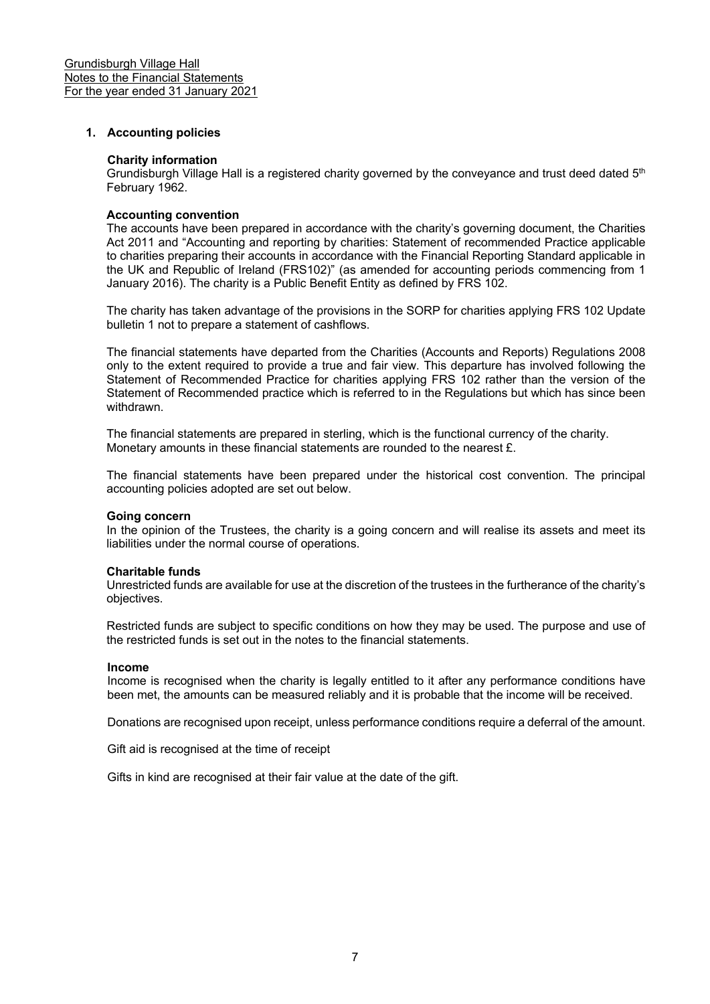#### **1. Accounting policies**

#### **Charity information**

Grundisburgh Village Hall is a registered charity governed by the conveyance and trust deed dated 5<sup>th</sup> February 1962.

#### **Accounting convention**

The accounts have been prepared in accordance with the charity's governing document, the Charities Act 2011 and "Accounting and reporting by charities: Statement of recommended Practice applicable to charities preparing their accounts in accordance with the Financial Reporting Standard applicable in the UK and Republic of Ireland (FRS102)" (as amended for accounting periods commencing from 1 January 2016). The charity is a Public Benefit Entity as defined by FRS 102.

The charity has taken advantage of the provisions in the SORP for charities applying FRS 102 Update bulletin 1 not to prepare a statement of cashflows.

The financial statements have departed from the Charities (Accounts and Reports) Regulations 2008 only to the extent required to provide a true and fair view. This departure has involved following the Statement of Recommended Practice for charities applying FRS 102 rather than the version of the Statement of Recommended practice which is referred to in the Regulations but which has since been withdrawn.

The financial statements are prepared in sterling, which is the functional currency of the charity. Monetary amounts in these financial statements are rounded to the nearest £.

The financial statements have been prepared under the historical cost convention. The principal accounting policies adopted are set out below.

#### **Going concern**

In the opinion of the Trustees, the charity is a going concern and will realise its assets and meet its liabilities under the normal course of operations.

#### **Charitable funds**

Unrestricted funds are available for use at the discretion of the trustees in the furtherance of the charity's objectives.

Restricted funds are subject to specific conditions on how they may be used. The purpose and use of the restricted funds is set out in the notes to the financial statements.

#### **Income**

Income is recognised when the charity is legally entitled to it after any performance conditions have been met, the amounts can be measured reliably and it is probable that the income will be received.

Donations are recognised upon receipt, unless performance conditions require a deferral of the amount.

Gift aid is recognised at the time of receipt

Gifts in kind are recognised at their fair value at the date of the gift.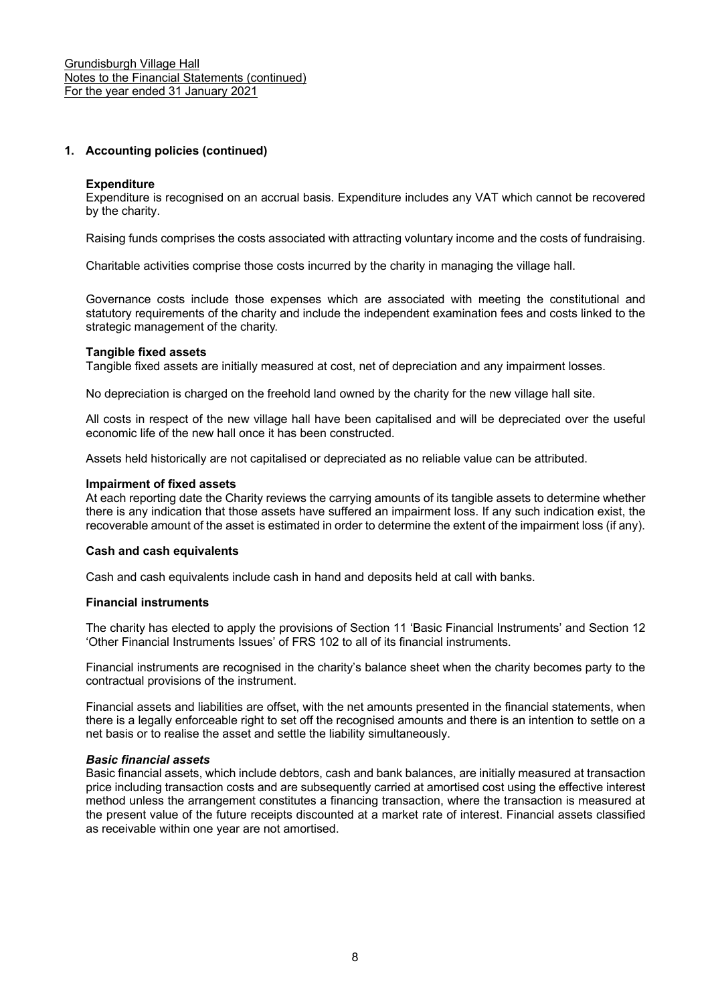## **1. Accounting policies (continued)**

#### **Expenditure**

Expenditure is recognised on an accrual basis. Expenditure includes any VAT which cannot be recovered by the charity.

Raising funds comprises the costs associated with attracting voluntary income and the costs of fundraising.

Charitable activities comprise those costs incurred by the charity in managing the village hall.

Governance costs include those expenses which are associated with meeting the constitutional and statutory requirements of the charity and include the independent examination fees and costs linked to the strategic management of the charity. 

#### **Tangible fixed assets**

Tangible fixed assets are initially measured at cost, net of depreciation and any impairment losses.

No depreciation is charged on the freehold land owned by the charity for the new village hall site.

All costs in respect of the new village hall have been capitalised and will be depreciated over the useful economic life of the new hall once it has been constructed.

Assets held historically are not capitalised or depreciated as no reliable value can be attributed.

#### **Impairment of fixed assets**

At each reporting date the Charity reviews the carrying amounts of its tangible assets to determine whether there is any indication that those assets have suffered an impairment loss. If any such indication exist, the recoverable amount of the asset is estimated in order to determine the extent of the impairment loss (if any).

#### **Cash and cash equivalents**

Cash and cash equivalents include cash in hand and deposits held at call with banks.

#### **Financial instruments**

The charity has elected to apply the provisions of Section 11 'Basic Financial Instruments' and Section 12 'Other Financial Instruments Issues' of FRS 102 to all of its financial instruments.

Financial instruments are recognised in the charity's balance sheet when the charity becomes party to the contractual provisions of the instrument.

Financial assets and liabilities are offset, with the net amounts presented in the financial statements, when there is a legally enforceable right to set off the recognised amounts and there is an intention to settle on a net basis or to realise the asset and settle the liability simultaneously.

#### *Basic financial assets*

Basic financial assets, which include debtors, cash and bank balances, are initially measured at transaction price including transaction costs and are subsequently carried at amortised cost using the effective interest method unless the arrangement constitutes a financing transaction, where the transaction is measured at the present value of the future receipts discounted at a market rate of interest. Financial assets classified as receivable within one year are not amortised.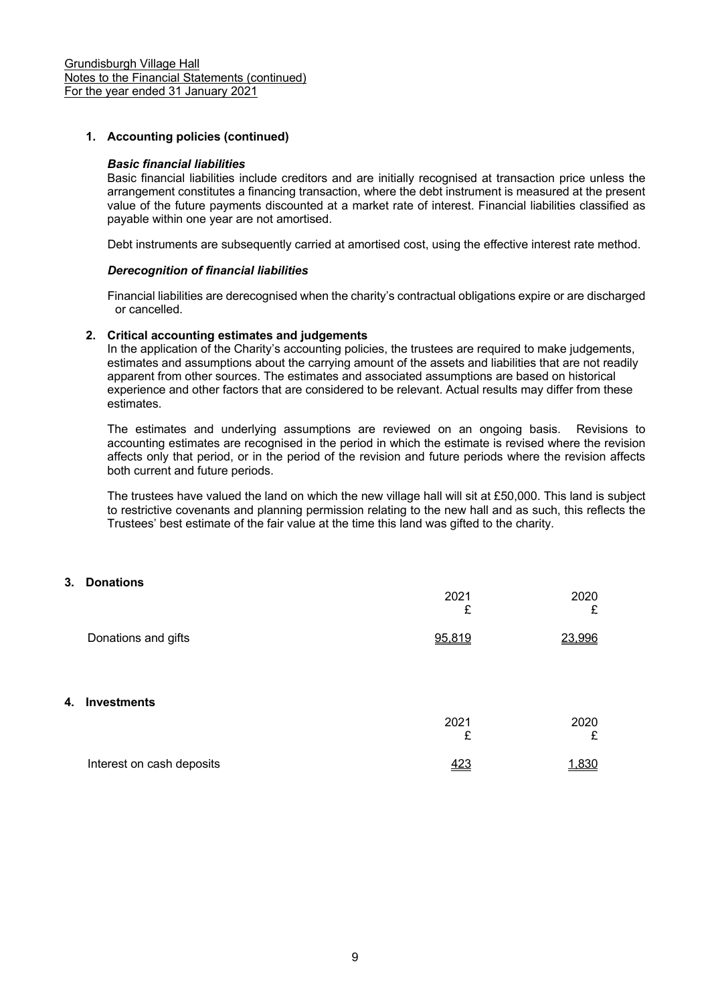## **1. Accounting policies (continued)**

#### *Basic financial liabilities*

Basic financial liabilities include creditors and are initially recognised at transaction price unless the arrangement constitutes a financing transaction, where the debt instrument is measured at the present value of the future payments discounted at a market rate of interest. Financial liabilities classified as payable within one year are not amortised.

Debt instruments are subsequently carried at amortised cost, using the effective interest rate method.

#### *Derecognition of financial liabilities*

Financial liabilities are derecognised when the charity's contractual obligations expire or are discharged or cancelled.

#### **2. Critical accounting estimates and judgements**

In the application of the Charity's accounting policies, the trustees are required to make judgements, estimates and assumptions about the carrying amount of the assets and liabilities that are not readily apparent from other sources. The estimates and associated assumptions are based on historical experience and other factors that are considered to be relevant. Actual results may differ from these estimates.

The estimates and underlying assumptions are reviewed on an ongoing basis. Revisions to accounting estimates are recognised in the period in which the estimate is revised where the revision affects only that period, or in the period of the revision and future periods where the revision affects both current and future periods.

The trustees have valued the land on which the new village hall will sit at £50,000. This land is subject to restrictive covenants and planning permission relating to the new hall and as such, this reflects the Trustees' best estimate of the fair value at the time this land was gifted to the charity.

## **3. Donations**

|    |                           | 2021<br>£ | 2020<br>£ |
|----|---------------------------|-----------|-----------|
|    | Donations and gifts       | 95,819    | 23,996    |
|    |                           |           |           |
| 4. | <b>Investments</b>        |           |           |
|    |                           | 2021<br>£ | 2020<br>£ |
|    | Interest on cash deposits | 423       | 1.830     |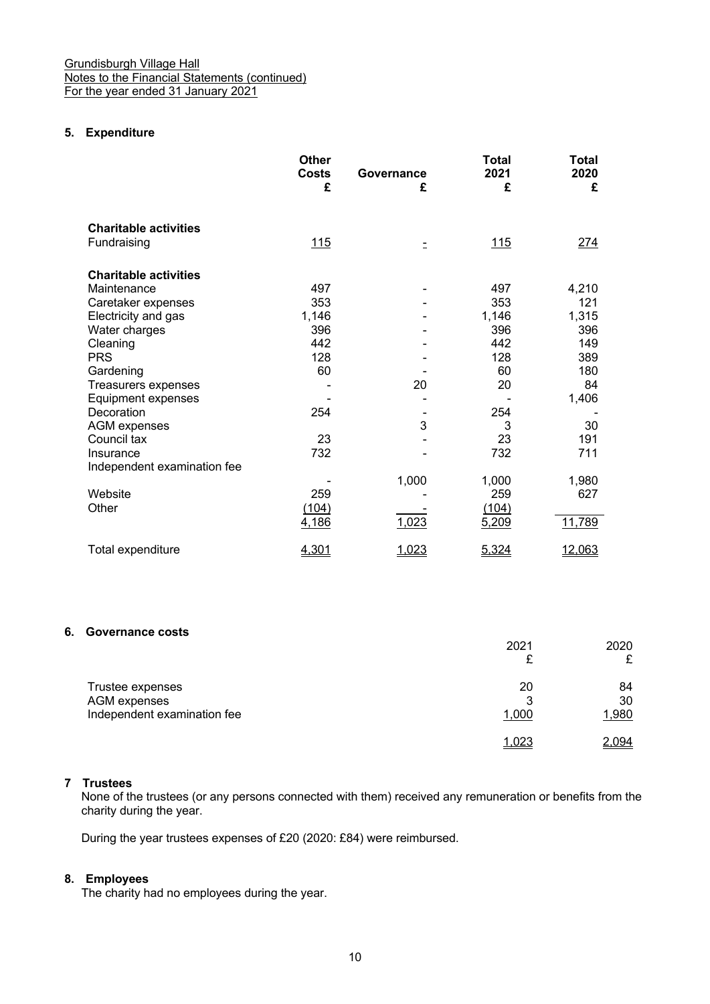## **5. Expenditure**

|                              | <b>Other</b><br><b>Costs</b> | Governance | <b>Total</b><br>2021 | Total<br>2020 |
|------------------------------|------------------------------|------------|----------------------|---------------|
|                              | £                            | £          | £                    | £             |
| <b>Charitable activities</b> |                              |            |                      |               |
| Fundraising                  | <u> 115</u>                  | Ξ          | <u> 115</u>          | <u> 274</u>   |
| <b>Charitable activities</b> |                              |            |                      |               |
| Maintenance                  | 497                          |            | 497                  | 4,210         |
| Caretaker expenses           | 353                          |            | 353                  | 121           |
| Electricity and gas          | 1,146                        |            | 1,146                | 1,315         |
| Water charges                | 396                          |            | 396                  | 396           |
| Cleaning                     | 442                          |            | 442                  | 149           |
| <b>PRS</b>                   | 128                          |            | 128                  | 389           |
| Gardening                    | 60                           |            | 60                   | 180           |
| Treasurers expenses          |                              | 20         | 20                   | 84            |
| Equipment expenses           |                              |            |                      | 1,406         |
| Decoration                   | 254                          |            | 254                  |               |
| <b>AGM</b> expenses          |                              | 3          | 3                    | 30            |
| Council tax                  | 23                           |            | 23                   | 191           |
| Insurance                    | 732                          |            | 732                  | 711           |
| Independent examination fee  |                              |            |                      |               |
|                              |                              | 1,000      | 1,000                | 1,980         |
| Website                      | 259                          |            | 259                  | 627           |
| Other                        | (104)                        |            | (104)                |               |
|                              | 4,186                        | 1,023      | 5,209                | 11,789        |
| Total expenditure            | 4,301                        | 1,023      | 5,324                | 12,063        |

## **6. Governance costs**

|                                                                 | 2021<br>₽        | 2020<br>£         |
|-----------------------------------------------------------------|------------------|-------------------|
| Trustee expenses<br>AGM expenses<br>Independent examination fee | 20<br>3<br>1,000 | 84<br>30<br>1,980 |
|                                                                 | 1.023            | 2.094             |

## **7 Trustees**

None of the trustees (or any persons connected with them) received any remuneration or benefits from the charity during the year.

During the year trustees expenses of £20 (2020: £84) were reimbursed.

## **8. Employees**

The charity had no employees during the year.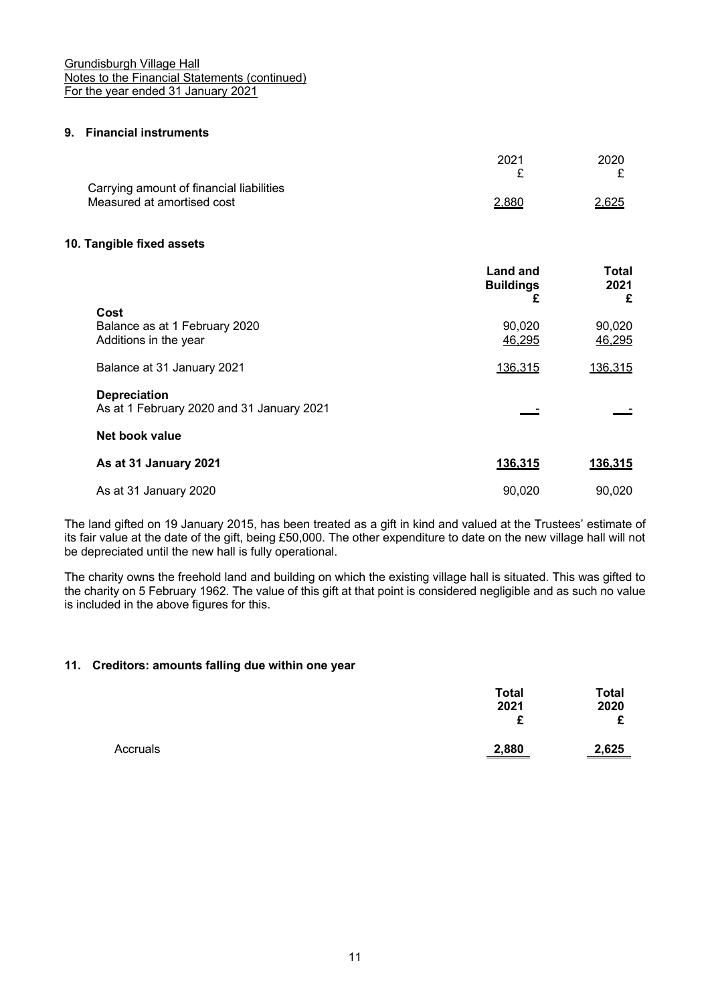## **9. Financial instruments**

|                                          | 2021  | 2020         |
|------------------------------------------|-------|--------------|
|                                          |       |              |
| Carrying amount of financial liabilities |       |              |
| Measured at amortised cost               | 2.880 | <u>2,625</u> |
|                                          |       |              |

#### **10. Tangible fixed assets**

|                                                                  | <b>Land and</b><br><b>Buildings</b><br>£ | Total<br>2021<br>£ |
|------------------------------------------------------------------|------------------------------------------|--------------------|
| Cost<br>Balance as at 1 February 2020<br>Additions in the year   | 90,020<br>46,295                         | 90,020<br>46,295   |
| Balance at 31 January 2021                                       | 136,315                                  | 136,315            |
| <b>Depreciation</b><br>As at 1 February 2020 and 31 January 2021 |                                          |                    |
| Net book value                                                   |                                          |                    |
| As at 31 January 2021                                            | 136,315                                  | 136,315            |
| As at 31 January 2020                                            | 90.020                                   | 90,020             |

The land gifted on 19 January 2015, has been treated as a gift in kind and valued at the Trustees' estimate of its fair value at the date of the gift, being £50,000. The other expenditure to date on the new village hall will not be depreciated until the new hall is fully operational.

The charity owns the freehold land and building on which the existing village hall is situated. This was gifted to the charity on 5 February 1962. The value of this gift at that point is considered negligible and as such no value is included in the above figures for this.

#### **11. Creditors: amounts falling due within one year**

|          | <b>Total</b><br>2021<br>£ | Total<br>2020<br>c |
|----------|---------------------------|--------------------|
| Accruals | 2,880                     | 2,625              |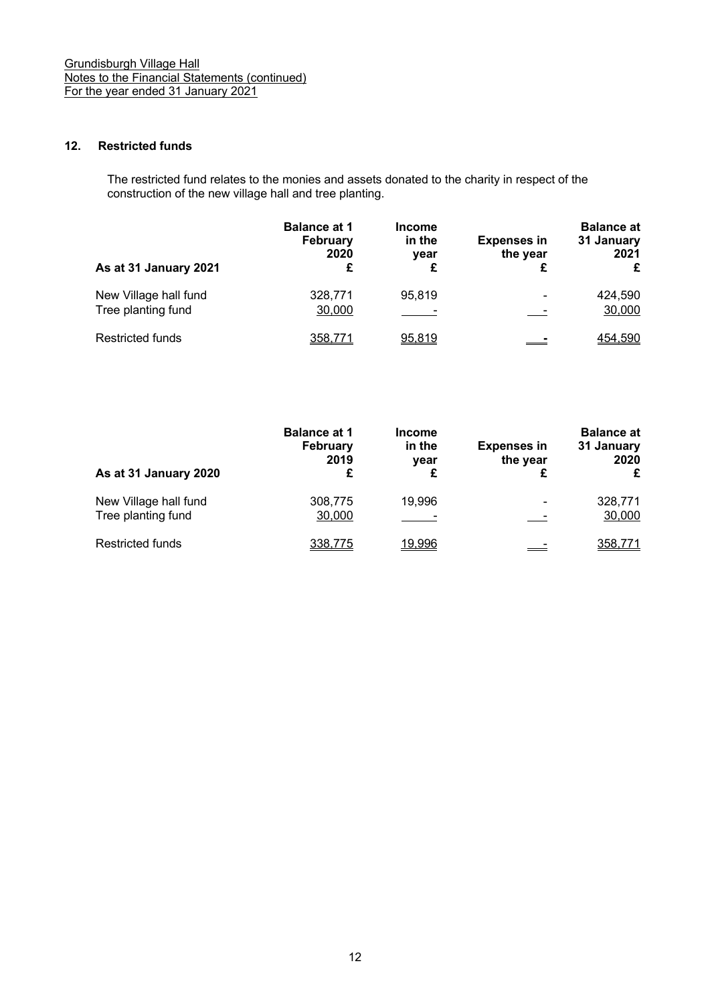## **12. Restricted funds**

The restricted fund relates to the monies and assets donated to the charity in respect of the construction of the new village hall and tree planting.

| As at 31 January 2021                       | <b>Balance at 1</b><br>February<br>2020<br>£ | <b>Income</b><br>in the<br>year<br>£ | <b>Expenses in</b><br>the year | <b>Balance at</b><br>31 January<br>2021<br>£ |
|---------------------------------------------|----------------------------------------------|--------------------------------------|--------------------------------|----------------------------------------------|
| New Village hall fund<br>Tree planting fund | 328,771<br>30,000                            | 95,819                               | $\overline{\phantom{a}}$       | 424,590<br>30,000                            |
| <b>Restricted funds</b>                     | 358.771                                      | 95,819                               |                                | 454,590                                      |

| As at 31 January 2020                       | <b>Balance at 1</b><br><b>February</b><br>2019<br>£ | <b>Income</b><br>in the<br>year<br>£ | <b>Expenses in</b><br>the year | <b>Balance at</b><br>31 January<br>2020<br>£ |
|---------------------------------------------|-----------------------------------------------------|--------------------------------------|--------------------------------|----------------------------------------------|
| New Village hall fund<br>Tree planting fund | 308,775<br>30,000                                   | 19,996                               | $\overline{\phantom{a}}$       | 328,771<br>30,000                            |
| <b>Restricted funds</b>                     | 338.775                                             | 19.996                               |                                | 358.771                                      |